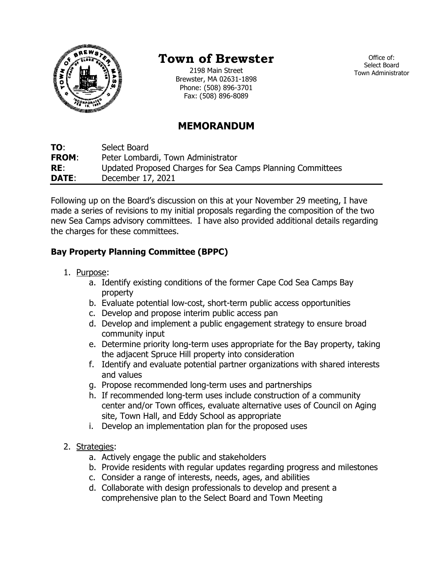

# **Town of Brewster**

2198 Main Street Brewster, MA 02631-1898 Phone: (508) 896-3701 Fax: (508) 896-8089

Office of: Select Board Town Administrator

## **MEMORANDUM**

**TO**: Select Board **FROM**: Peter Lombardi, Town Administrator **RE**: Updated Proposed Charges for Sea Camps Planning Committees **DATE**: December 17, 2021

Following up on the Board's discussion on this at your November 29 meeting, I have made a series of revisions to my initial proposals regarding the composition of the two new Sea Camps advisory committees. I have also provided additional details regarding the charges for these committees.

### **Bay Property Planning Committee (BPPC)**

- 1. Purpose:
	- a. Identify existing conditions of the former Cape Cod Sea Camps Bay property
	- b. Evaluate potential low-cost, short-term public access opportunities
	- c. Develop and propose interim public access pan
	- d. Develop and implement a public engagement strategy to ensure broad community input
	- e. Determine priority long-term uses appropriate for the Bay property, taking the adjacent Spruce Hill property into consideration
	- f. Identify and evaluate potential partner organizations with shared interests and values
	- g. Propose recommended long-term uses and partnerships
	- h. If recommended long-term uses include construction of a community center and/or Town offices, evaluate alternative uses of Council on Aging site, Town Hall, and Eddy School as appropriate
	- i. Develop an implementation plan for the proposed uses
- 2. Strategies:
	- a. Actively engage the public and stakeholders
	- b. Provide residents with regular updates regarding progress and milestones
	- c. Consider a range of interests, needs, ages, and abilities
	- d. Collaborate with design professionals to develop and present a comprehensive plan to the Select Board and Town Meeting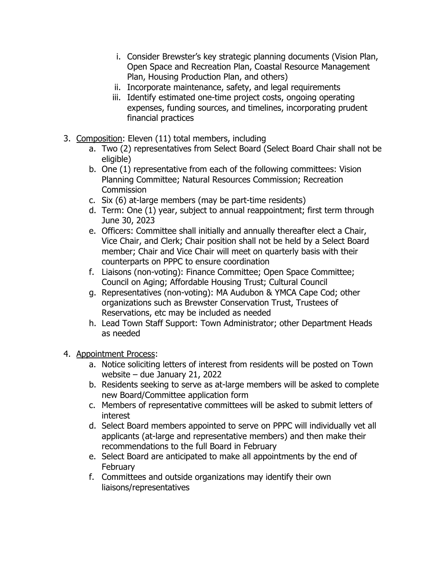- i. Consider Brewster's key strategic planning documents (Vision Plan, Open Space and Recreation Plan, Coastal Resource Management Plan, Housing Production Plan, and others)
- ii. Incorporate maintenance, safety, and legal requirements
- iii. Identify estimated one-time project costs, ongoing operating expenses, funding sources, and timelines, incorporating prudent financial practices
- 3. Composition: Eleven (11) total members, including
	- a. Two (2) representatives from Select Board (Select Board Chair shall not be eligible)
	- b. One (1) representative from each of the following committees: Vision Planning Committee; Natural Resources Commission; Recreation **Commission**
	- c. Six (6) at-large members (may be part-time residents)
	- d. Term: One (1) year, subject to annual reappointment; first term through June 30, 2023
	- e. Officers: Committee shall initially and annually thereafter elect a Chair, Vice Chair, and Clerk; Chair position shall not be held by a Select Board member; Chair and Vice Chair will meet on quarterly basis with their counterparts on PPPC to ensure coordination
	- f. Liaisons (non-voting): Finance Committee; Open Space Committee; Council on Aging; Affordable Housing Trust; Cultural Council
	- g. Representatives (non-voting): MA Audubon & YMCA Cape Cod; other organizations such as Brewster Conservation Trust, Trustees of Reservations, etc may be included as needed
	- h. Lead Town Staff Support: Town Administrator; other Department Heads as needed
- 4. Appointment Process:
	- a. Notice soliciting letters of interest from residents will be posted on Town website – due January 21, 2022
	- b. Residents seeking to serve as at-large members will be asked to complete new Board/Committee application form
	- c. Members of representative committees will be asked to submit letters of interest
	- d. Select Board members appointed to serve on PPPC will individually vet all applicants (at-large and representative members) and then make their recommendations to the full Board in February
	- e. Select Board are anticipated to make all appointments by the end of February
	- f. Committees and outside organizations may identify their own liaisons/representatives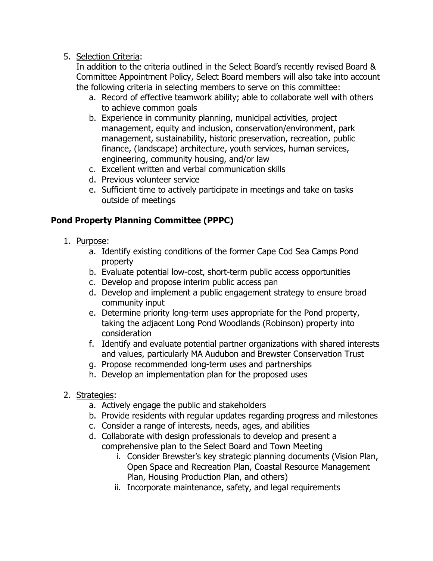#### 5. Selection Criteria:

In addition to the criteria outlined in the Select Board's recently revised Board & Committee Appointment Policy, Select Board members will also take into account the following criteria in selecting members to serve on this committee:

- a. Record of effective teamwork ability; able to collaborate well with others to achieve common goals
- b. Experience in community planning, municipal activities, project management, equity and inclusion, conservation/environment, park management, sustainability, historic preservation, recreation, public finance, (landscape) architecture, youth services, human services, engineering, community housing, and/or law
- c. Excellent written and verbal communication skills
- d. Previous volunteer service
- e. Sufficient time to actively participate in meetings and take on tasks outside of meetings

### **Pond Property Planning Committee (PPPC)**

- 1. Purpose:
	- a. Identify existing conditions of the former Cape Cod Sea Camps Pond property
	- b. Evaluate potential low-cost, short-term public access opportunities
	- c. Develop and propose interim public access pan
	- d. Develop and implement a public engagement strategy to ensure broad community input
	- e. Determine priority long-term uses appropriate for the Pond property, taking the adjacent Long Pond Woodlands (Robinson) property into consideration
	- f. Identify and evaluate potential partner organizations with shared interests and values, particularly MA Audubon and Brewster Conservation Trust
	- g. Propose recommended long-term uses and partnerships
	- h. Develop an implementation plan for the proposed uses
- 2. Strategies:
	- a. Actively engage the public and stakeholders
	- b. Provide residents with regular updates regarding progress and milestones
	- c. Consider a range of interests, needs, ages, and abilities
	- d. Collaborate with design professionals to develop and present a comprehensive plan to the Select Board and Town Meeting
		- i. Consider Brewster's key strategic planning documents (Vision Plan, Open Space and Recreation Plan, Coastal Resource Management Plan, Housing Production Plan, and others)
		- ii. Incorporate maintenance, safety, and legal requirements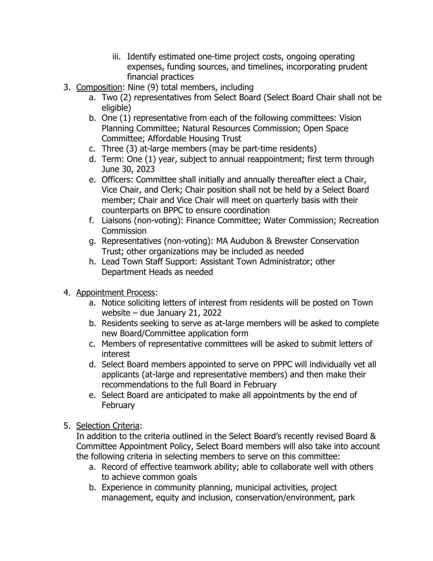- iii. Identify estimated one-time project costs, ongoing operating expenses, funding sources, and timelines, incorporating prudent financial practices
- 3. Composition: Nine (9) total members, including
	- a. Two (2) representatives from Select Board (Select Board Chair shall not be eligible)
	- b. One (1) representative from each of the following committees: Vision Planning Committee; Natural Resources Commission; Open Space Committee; Affordable Housing Trust
	- c. Three (3) at-large members (may be part-time residents)
	- d. Term: One (1) year, subject to annual reappointment; first term through June 30, 2023
	- e. Officers: Committee shall initially and annually thereafter elect a Chair, Vice Chair, and Clerk; Chair position shall not be held by a Select Board member; Chair and Vice Chair will meet on quarterly basis with their counterparts on BPPC to ensure coordination
	- f. Liaisons (non-voting): Finance Committee; Water Commission; Recreation **Commission**
	- g. Representatives (non-voting): MA Audubon & Brewster Conservation Trust; other organizations may be included as needed
	- h. Lead Town Staff Support: Assistant Town Administrator; other Department Heads as needed
- 4. Appointment Process:
	- a. Notice soliciting letters of interest from residents will be posted on Town website – due January 21, 2022
	- b. Residents seeking to serve as at-large members will be asked to complete new Board/Committee application form
	- c. Members of representative committees will be asked to submit letters of interest
	- d. Select Board members appointed to serve on PPPC will individually vet all applicants (at-large and representative members) and then make their recommendations to the full Board in February
	- e. Select Board are anticipated to make all appointments by the end of February
- 5. Selection Criteria:

In addition to the criteria outlined in the Select Board's recently revised Board & Committee Appointment Policy, Select Board members will also take into account the following criteria in selecting members to serve on this committee:

- a. Record of effective teamwork ability; able to collaborate well with others to achieve common goals
- b. Experience in community planning, municipal activities, project management, equity and inclusion, conservation/environment, park